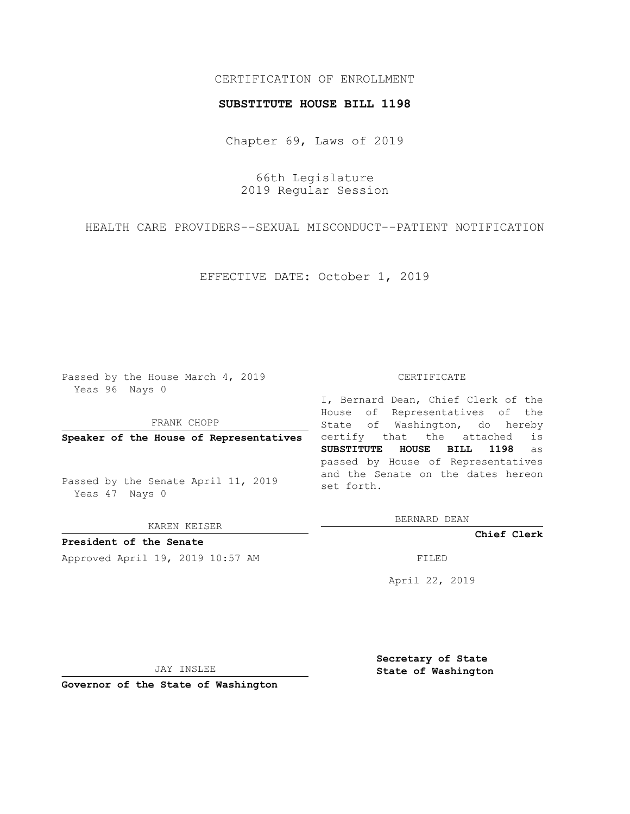# CERTIFICATION OF ENROLLMENT

### **SUBSTITUTE HOUSE BILL 1198**

Chapter 69, Laws of 2019

66th Legislature 2019 Regular Session

HEALTH CARE PROVIDERS--SEXUAL MISCONDUCT--PATIENT NOTIFICATION

EFFECTIVE DATE: October 1, 2019

Passed by the House March 4, 2019 Yeas 96 Nays 0

FRANK CHOPP

**Speaker of the House of Representatives**

Passed by the Senate April 11, 2019 Yeas 47 Nays 0

KAREN KEISER

**President of the Senate**

Approved April 19, 2019 10:57 AM FILED

#### CERTIFICATE

I, Bernard Dean, Chief Clerk of the House of Representatives of the State of Washington, do hereby certify that the attached is **SUBSTITUTE HOUSE BILL 1198** as passed by House of Representatives and the Senate on the dates hereon set forth.

BERNARD DEAN

**Chief Clerk**

April 22, 2019

JAY INSLEE

**Governor of the State of Washington**

**Secretary of State State of Washington**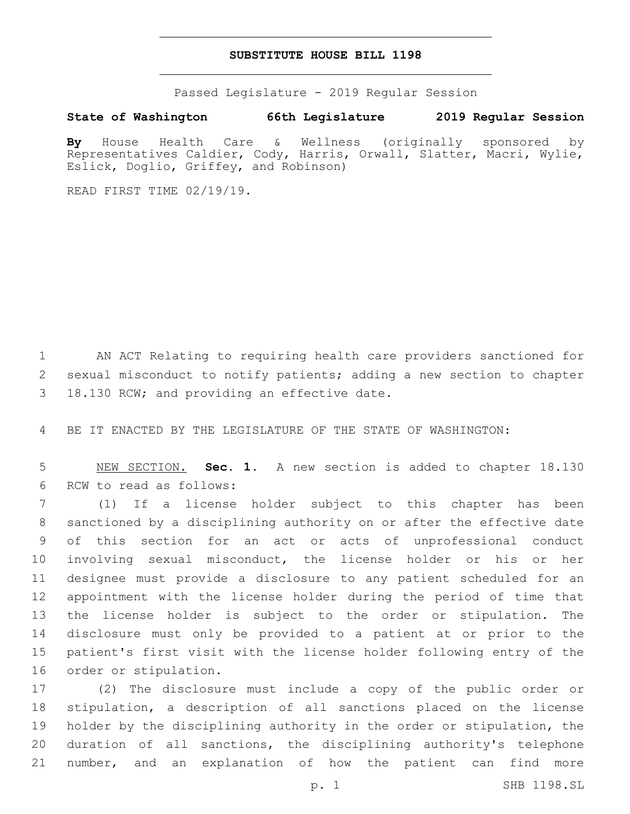# **SUBSTITUTE HOUSE BILL 1198**

Passed Legislature - 2019 Regular Session

## **State of Washington 66th Legislature 2019 Regular Session**

**By** House Health Care & Wellness (originally sponsored by Representatives Caldier, Cody, Harris, Orwall, Slatter, Macri, Wylie, Eslick, Doglio, Griffey, and Robinson)

READ FIRST TIME 02/19/19.

 AN ACT Relating to requiring health care providers sanctioned for sexual misconduct to notify patients; adding a new section to chapter 3 18.130 RCW; and providing an effective date.

BE IT ENACTED BY THE LEGISLATURE OF THE STATE OF WASHINGTON:

 NEW SECTION. **Sec. 1.** A new section is added to chapter 18.130 6 RCW to read as follows:

 (1) If a license holder subject to this chapter has been sanctioned by a disciplining authority on or after the effective date of this section for an act or acts of unprofessional conduct involving sexual misconduct, the license holder or his or her designee must provide a disclosure to any patient scheduled for an appointment with the license holder during the period of time that the license holder is subject to the order or stipulation. The disclosure must only be provided to a patient at or prior to the patient's first visit with the license holder following entry of the 16 order or stipulation.

 (2) The disclosure must include a copy of the public order or stipulation, a description of all sanctions placed on the license holder by the disciplining authority in the order or stipulation, the duration of all sanctions, the disciplining authority's telephone number, and an explanation of how the patient can find more